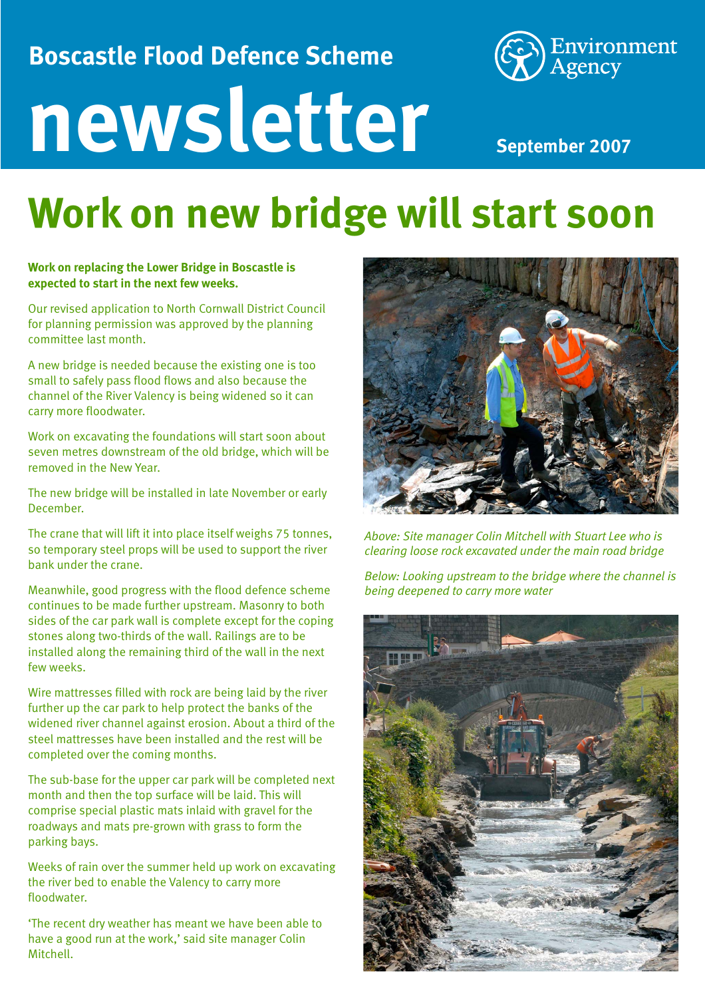### **Boscastle Flood Defence Scheme**



# **newsletter**

**September 2007**

### **Work on new bridge will start soon**

#### **Work on replacing the Lower Bridge in Boscastle is expected to start in the next few weeks.**

Our revised application to North Cornwall District Council for planning permission was approved by the planning committee last month.

A new bridge is needed because the existing one is too small to safely pass flood flows and also because the channel of the River Valency is being widened so it can carry more floodwater.

Work on excavating the foundations will start soon about seven metres downstream of the old bridge, which will be removed in the New Year.

The new bridge will be installed in late November or early December.

The crane that will lift it into place itself weighs 75 tonnes, so temporary steel props will be used to support the river bank under the crane.

Meanwhile, good progress with the flood defence scheme continues to be made further upstream. Masonry to both sides of the car park wall is complete except for the coping stones along two-thirds of the wall. Railings are to be installed along the remaining third of the wall in the next few weeks.

Wire mattresses filled with rock are being laid by the river further up the car park to help protect the banks of the widened river channel against erosion. About a third of the steel mattresses have been installed and the rest will be completed over the coming months.

The sub-base for the upper car park will be completed next month and then the top surface will be laid. This will comprise special plastic mats inlaid with gravel for the roadways and mats pre-grown with grass to form the parking bays.

Weeks of rain over the summer held up work on excavating the river bed to enable the Valency to carry more floodwater.

'The recent dry weather has meant we have been able to have a good run at the work,' said site manager Colin Mitchell.



*Above: Site manager Colin Mitchell with Stuart Lee who is clearing loose rock excavated under the main road bridge*

*Below: Looking upstream to the bridge where the channel is being deepened to carry more water*